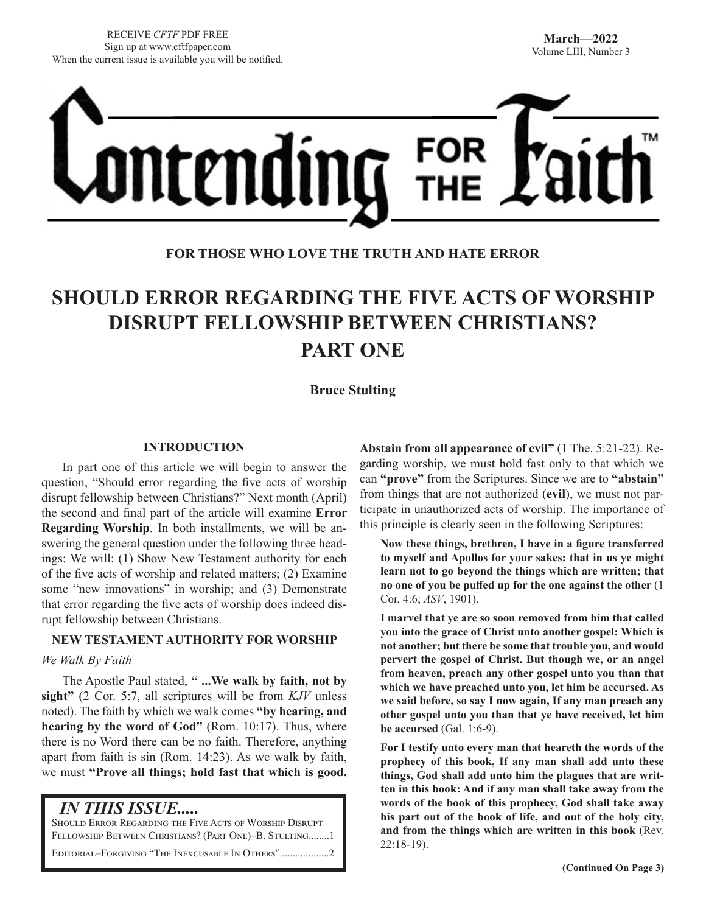

# **FOR THOSE WHO LOVE THE TRUTH AND HATE ERROR**

# **SHOULD ERROR REGARDING THE FIVE ACTS OF WORSHIP DISRUPT FELLOWSHIP BETWEEN CHRISTIANS? PART ONE**

## **Bruce Stulting**

#### **INTRODUCTION**

In part one of this article we will begin to answer the question, "Should error regarding the five acts of worship disrupt fellowship between Christians?" Next month (April) the second and final part of the article will examine **Error Regarding Worship**. In both installments, we will be answering the general question under the following three headings: We will: (1) Show New Testament authority for each of the five acts of worship and related matters; (2) Examine some "new innovations" in worship; and (3) Demonstrate that error regarding the five acts of worship does indeed disrupt fellowship between Christians.

### **NEW TESTAMENT AUTHORITY FOR WORSHIP**

#### *We Walk By Faith*

The Apostle Paul stated, **" ...We walk by faith, not by sight"** (2 Cor. 5:7, all scriptures will be from *KJV* unless noted). The faith by which we walk comes **"by hearing, and hearing by the word of God"** (Rom. 10:17). Thus, where there is no Word there can be no faith. Therefore, anything apart from faith is sin (Rom. 14:23). As we walk by faith, we must **"Prove all things; hold fast that which is good.** 

 *IN THIS ISSUE.....*

Should Error Regarding the Five Acts of Worship Disrupt Fellowship Between Christians? (Part One)–B. Stulting........1

EDITORIAL–FORGIVING "THE INEXCUSABLE IN OTHERS".................

**Abstain from all appearance of evil"** (1 The. 5:21-22). Regarding worship, we must hold fast only to that which we can **"prove"** from the Scriptures. Since we are to **"abstain"** from things that are not authorized (**evil**), we must not participate in unauthorized acts of worship. The importance of this principle is clearly seen in the following Scriptures:

**Now these things, brethren, I have in a figure transferred to myself and Apollos for your sakes: that in us ye might learn not to go beyond the things which are written; that no one of you be puffed up for the one against the other** (1 Cor. 4:6; *ASV*, 1901).

**I marvel that ye are so soon removed from him that called you into the grace of Christ unto another gospel: Which is not another; but there be some that trouble you, and would pervert the gospel of Christ. But though we, or an angel from heaven, preach any other gospel unto you than that which we have preached unto you, let him be accursed. As we said before, so say I now again, If any man preach any other gospel unto you than that ye have received, let him be accursed** (Gal. 1:6-9).

**For I testify unto every man that heareth the words of the prophecy of this book, If any man shall add unto these things, God shall add unto him the plagues that are written in this book: And if any man shall take away from the words of the book of this prophecy, God shall take away his part out of the book of life, and out of the holy city, and from the things which are written in this book** (Rev. 22:18-19).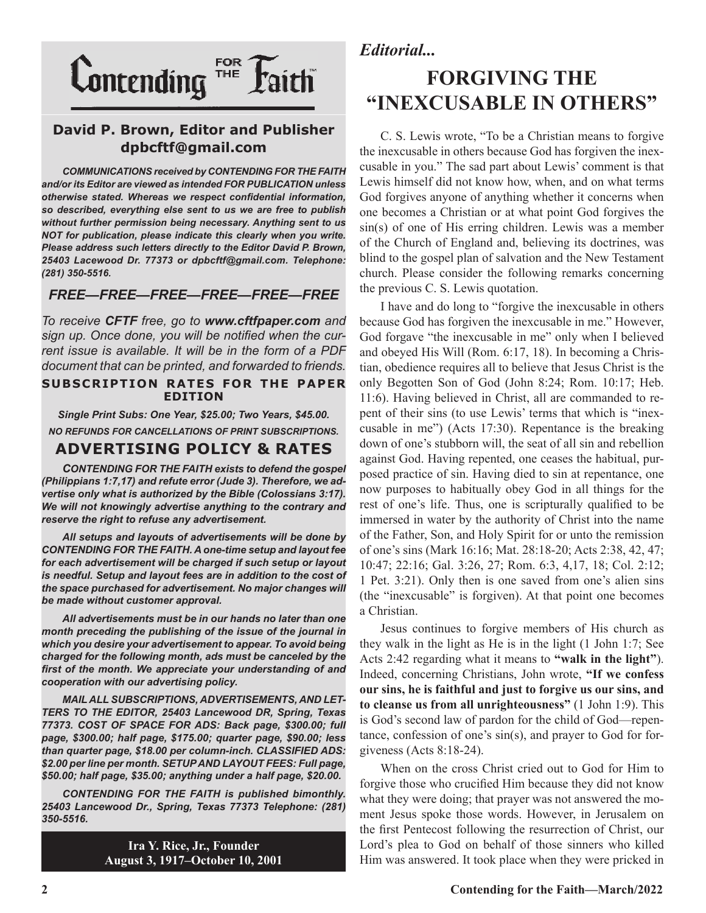

# **David P. Brown, Editor and Publisher dpbcftf@gmail.com**

*COMMUNICATIONS received by CONTENDING FOR THE FAITH and/or its Editor are viewed as intended FOR PUBLICATION unless otherwise stated. Whereas we respect confidential information, so described, everything else sent to us we are free to publish without further permission being necessary. Anything sent to us NOT for publication, please indicate this clearly when you write. Please address such letters directly to the Editor David P. Brown, 25403 Lacewood Dr. 77373 or dpbcftf@gmail.com. Telephone: (281) 350-5516.*

## *FREE—FREE—FREE—FREE—FREE—FREE*

*To receive CFTF free, go to www.cftfpaper.com and sign up. Once done, you will be notified when the current issue is available. It will be in the form of a PDF document that can be printed, and forwarded to friends.*

#### **SUBSCRIPTION RATES FOR THE PAPER EDITION**

*Single Print Subs: One Year, \$25.00; Two Years, \$45.00. NO REFUNDS FOR CANCELLATIONS OF PRINT SUBSCRIPTIONS.*

# **ADVERTISING POLICY & RATES**

*CONTENDING FOR THE FAITH exists to defend the gospel (Philippians 1:7,17) and refute error (Jude 3). Therefore, we advertise only what is authorized by the Bible (Colossians 3:17). We will not knowingly advertise anything to the contrary and reserve the right to refuse any advertisement.*

*All setups and layouts of advertisements will be done by CONTENDING FOR THE FAITH. A one-time setup and layout fee for each advertisement will be charged if such setup or layout*  is needful. Setup and layout fees are in addition to the cost of *the space purchased for advertisement. No major changes will be made without customer approval.*

*All advertisements must be in our hands no later than one month preceding the publishing of the issue of the journal in which you desire your advertisement to appear. To avoid being charged for the following month, ads must be canceled by the first of the month. We appreciate your understanding of and cooperation with our advertising policy.*

*MAIL ALL SUBSCRIPTIONS, ADVERTISEMENTS, AND LET-TERS TO THE EDITOR, 25403 Lancewood DR, Spring, Texas 77373. COST OF SPACE FOR ADS: Back page, \$300.00; full page, \$300.00; half page, \$175.00; quarter page, \$90.00; less than quarter page, \$18.00 per column-inch. CLASSIFIED ADS: \$2.00 per line per month. SETUP AND LAYOUT FEES: Full page, \$50.00; half page, \$35.00; anything under a half page, \$20.00.*

*CONTENDING FOR THE FAITH is published bimonthly. 25403 Lancewood Dr., Spring, Texas 77373 Telephone: (281) 350-5516.*

> **Ira Y. Rice, Jr., Founder August 3, 1917–October 10, 2001**

# *Editorial...*

# **FORGIVING THE "INEXCUSABLE IN OTHERS"**

C. S. Lewis wrote, "To be a Christian means to forgive the inexcusable in others because God has forgiven the inexcusable in you." The sad part about Lewis' comment is that Lewis himself did not know how, when, and on what terms God forgives anyone of anything whether it concerns when one becomes a Christian or at what point God forgives the sin(s) of one of His erring children. Lewis was a member of the Church of England and, believing its doctrines, was blind to the gospel plan of salvation and the New Testament church. Please consider the following remarks concerning the previous C. S. Lewis quotation.

I have and do long to "forgive the inexcusable in others because God has forgiven the inexcusable in me." However, God forgave "the inexcusable in me" only when I believed and obeyed His Will (Rom. 6:17, 18). In becoming a Christian, obedience requires all to believe that Jesus Christ is the only Begotten Son of God (John 8:24; Rom. 10:17; Heb. 11:6). Having believed in Christ, all are commanded to repent of their sins (to use Lewis' terms that which is "inexcusable in me") (Acts 17:30). Repentance is the breaking down of one's stubborn will, the seat of all sin and rebellion against God. Having repented, one ceases the habitual, purposed practice of sin. Having died to sin at repentance, one now purposes to habitually obey God in all things for the rest of one's life. Thus, one is scripturally qualified to be immersed in water by the authority of Christ into the name of the Father, Son, and Holy Spirit for or unto the remission of one's sins (Mark 16:16; Mat. 28:18-20; Acts 2:38, 42, 47; 10:47; 22:16; Gal. 3:26, 27; Rom. 6:3, 4,17, 18; Col. 2:12; 1 Pet. 3:21). Only then is one saved from one's alien sins (the "inexcusable" is forgiven). At that point one becomes a Christian.

Jesus continues to forgive members of His church as they walk in the light as He is in the light (1 John 1:7; See Acts 2:42 regarding what it means to **"walk in the light"**). Indeed, concerning Christians, John wrote, **"If we confess our sins, he is faithful and just to forgive us our sins, and to cleanse us from all unrighteousness"** (1 John 1:9). This is God's second law of pardon for the child of God—repentance, confession of one's sin(s), and prayer to God for forgiveness (Acts 8:18-24).

When on the cross Christ cried out to God for Him to forgive those who crucified Him because they did not know what they were doing; that prayer was not answered the moment Jesus spoke those words. However, in Jerusalem on the first Pentecost following the resurrection of Christ, our Lord's plea to God on behalf of those sinners who killed Him was answered. It took place when they were pricked in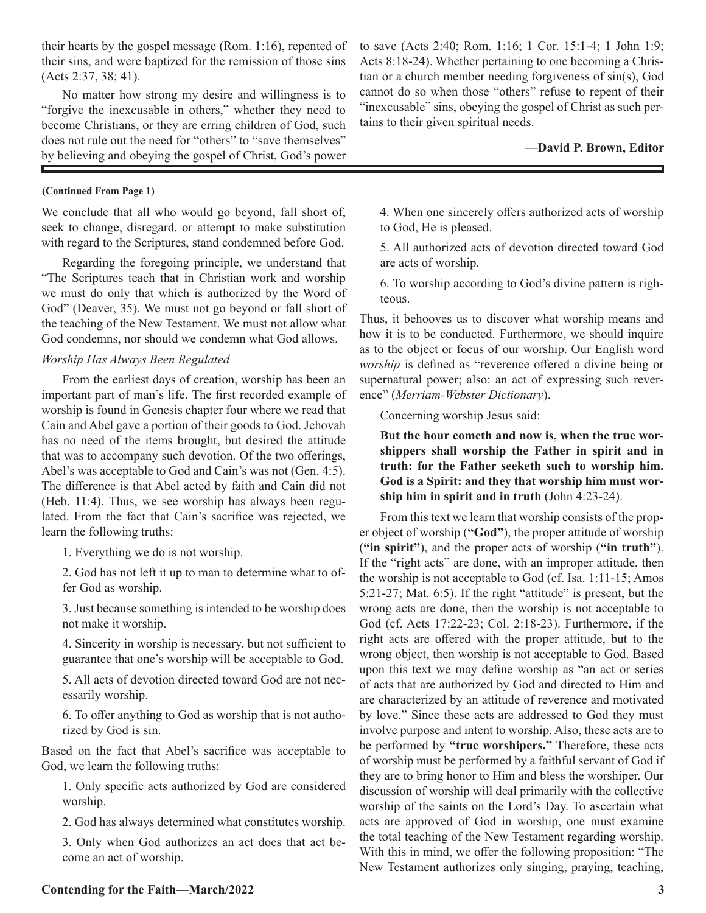their hearts by the gospel message (Rom. 1:16), repented of their sins, and were baptized for the remission of those sins (Acts 2:37, 38; 41).

No matter how strong my desire and willingness is to "forgive the inexcusable in others," whether they need to become Christians, or they are erring children of God, such does not rule out the need for "others" to "save themselves" by believing and obeying the gospel of Christ, God's power

#### **(Continued From Page 1)**

We conclude that all who would go beyond, fall short of, seek to change, disregard, or attempt to make substitution with regard to the Scriptures, stand condemned before God.

Regarding the foregoing principle, we understand that "The Scriptures teach that in Christian work and worship we must do only that which is authorized by the Word of God" (Deaver, 35). We must not go beyond or fall short of the teaching of the New Testament. We must not allow what God condemns, nor should we condemn what God allows.

#### *Worship Has Always Been Regulated*

From the earliest days of creation, worship has been an important part of man's life. The first recorded example of worship is found in Genesis chapter four where we read that Cain and Abel gave a portion of their goods to God. Jehovah has no need of the items brought, but desired the attitude that was to accompany such devotion. Of the two offerings, Abel's was acceptable to God and Cain's was not (Gen. 4:5). The difference is that Abel acted by faith and Cain did not (Heb. 11:4). Thus, we see worship has always been regulated. From the fact that Cain's sacrifice was rejected, we learn the following truths:

1. Everything we do is not worship.

2. God has not left it up to man to determine what to offer God as worship.

3. Just because something is intended to be worship does not make it worship.

4. Sincerity in worship is necessary, but not sufficient to guarantee that one's worship will be acceptable to God.

5. All acts of devotion directed toward God are not necessarily worship.

6. To offer anything to God as worship that is not authorized by God is sin.

Based on the fact that Abel's sacrifice was acceptable to God, we learn the following truths:

1. Only specific acts authorized by God are considered worship.

2. God has always determined what constitutes worship.

3. Only when God authorizes an act does that act become an act of worship.

to save (Acts 2:40; Rom. 1:16; 1 Cor. 15:1-4; 1 John 1:9; Acts 8:18-24). Whether pertaining to one becoming a Christian or a church member needing forgiveness of sin(s), God cannot do so when those "others" refuse to repent of their "inexcusable" sins, obeying the gospel of Christ as such pertains to their given spiritual needs.

#### **—David P. Brown, Editor**

4. When one sincerely offers authorized acts of worship to God, He is pleased.

5. All authorized acts of devotion directed toward God are acts of worship.

6. To worship according to God's divine pattern is righteous.

Thus, it behooves us to discover what worship means and how it is to be conducted. Furthermore, we should inquire as to the object or focus of our worship. Our English word *worship* is defined as "reverence offered a divine being or supernatural power; also: an act of expressing such reverence" (*Merriam-Webster Dictionary*).

Concerning worship Jesus said:

**But the hour cometh and now is, when the true worshippers shall worship the Father in spirit and in truth: for the Father seeketh such to worship him. God is a Spirit: and they that worship him must worship him in spirit and in truth** (John 4:23-24).

From this text we learn that worship consists of the proper object of worship (**"God"**), the proper attitude of worship (**"in spirit"**), and the proper acts of worship (**"in truth"**). If the "right acts" are done, with an improper attitude, then the worship is not acceptable to God (cf. Isa. 1:11-15; Amos 5:21-27; Mat. 6:5). If the right "attitude" is present, but the wrong acts are done, then the worship is not acceptable to God (cf. Acts 17:22-23; Col. 2:18-23). Furthermore, if the right acts are offered with the proper attitude, but to the wrong object, then worship is not acceptable to God. Based upon this text we may define worship as "an act or series of acts that are authorized by God and directed to Him and are characterized by an attitude of reverence and motivated by love." Since these acts are addressed to God they must involve purpose and intent to worship. Also, these acts are to be performed by **"true worshipers."** Therefore, these acts of worship must be performed by a faithful servant of God if they are to bring honor to Him and bless the worshiper. Our discussion of worship will deal primarily with the collective worship of the saints on the Lord's Day. To ascertain what acts are approved of God in worship, one must examine the total teaching of the New Testament regarding worship. With this in mind, we offer the following proposition: "The New Testament authorizes only singing, praying, teaching,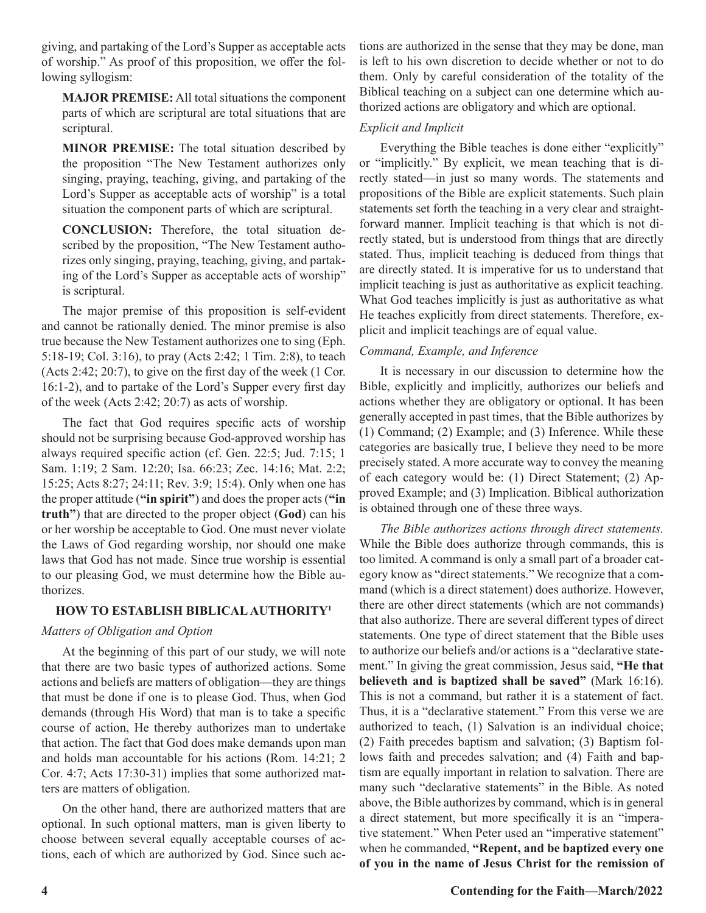giving, and partaking of the Lord's Supper as acceptable acts of worship." As proof of this proposition, we offer the following syllogism:

**MAJOR PREMISE:** All total situations the component parts of which are scriptural are total situations that are scriptural.

**MINOR PREMISE:** The total situation described by the proposition "The New Testament authorizes only singing, praying, teaching, giving, and partaking of the Lord's Supper as acceptable acts of worship" is a total situation the component parts of which are scriptural.

**CONCLUSION:** Therefore, the total situation described by the proposition, "The New Testament authorizes only singing, praying, teaching, giving, and partaking of the Lord's Supper as acceptable acts of worship" is scriptural.

The major premise of this proposition is self-evident and cannot be rationally denied. The minor premise is also true because the New Testament authorizes one to sing (Eph. 5:18-19; Col. 3:16), to pray (Acts 2:42; 1 Tim. 2:8), to teach (Acts 2:42; 20:7), to give on the first day of the week (1 Cor. 16:1-2), and to partake of the Lord's Supper every first day of the week (Acts 2:42; 20:7) as acts of worship.

The fact that God requires specific acts of worship should not be surprising because God-approved worship has always required specific action (cf. Gen. 22:5; Jud. 7:15; 1 Sam. 1:19; 2 Sam. 12:20; Isa. 66:23; Zec. 14:16; Mat. 2:2; 15:25; Acts 8:27; 24:11; Rev. 3:9; 15:4). Only when one has the proper attitude (**"in spirit"**) and does the proper acts (**"in truth"**) that are directed to the proper object (**God**) can his or her worship be acceptable to God. One must never violate the Laws of God regarding worship, nor should one make laws that God has not made. Since true worship is essential to our pleasing God, we must determine how the Bible authorizes.

### **HOW TO ESTABLISH BIBLICAL AUTHORITY1**

## *Matters of Obligation and Option*

At the beginning of this part of our study, we will note that there are two basic types of authorized actions. Some actions and beliefs are matters of obligation—they are things that must be done if one is to please God. Thus, when God demands (through His Word) that man is to take a specific course of action, He thereby authorizes man to undertake that action. The fact that God does make demands upon man and holds man accountable for his actions (Rom. 14:21; 2 Cor. 4:7; Acts 17:30-31) implies that some authorized matters are matters of obligation.

On the other hand, there are authorized matters that are optional. In such optional matters, man is given liberty to choose between several equally acceptable courses of actions, each of which are authorized by God. Since such actions are authorized in the sense that they may be done, man is left to his own discretion to decide whether or not to do them. Only by careful consideration of the totality of the Biblical teaching on a subject can one determine which authorized actions are obligatory and which are optional.

## *Explicit and Implicit*

Everything the Bible teaches is done either "explicitly" or "implicitly." By explicit, we mean teaching that is directly stated—in just so many words. The statements and propositions of the Bible are explicit statements. Such plain statements set forth the teaching in a very clear and straightforward manner. Implicit teaching is that which is not directly stated, but is understood from things that are directly stated. Thus, implicit teaching is deduced from things that are directly stated. It is imperative for us to understand that implicit teaching is just as authoritative as explicit teaching. What God teaches implicitly is just as authoritative as what He teaches explicitly from direct statements. Therefore, explicit and implicit teachings are of equal value.

## *Command, Example, and Inference*

It is necessary in our discussion to determine how the Bible, explicitly and implicitly, authorizes our beliefs and actions whether they are obligatory or optional. It has been generally accepted in past times, that the Bible authorizes by (1) Command; (2) Example; and (3) Inference. While these categories are basically true, I believe they need to be more precisely stated. A more accurate way to convey the meaning of each category would be: (1) Direct Statement; (2) Approved Example; and (3) Implication. Biblical authorization is obtained through one of these three ways.

*The Bible authorizes actions through direct statements.*  While the Bible does authorize through commands, this is too limited. A command is only a small part of a broader category know as "direct statements." We recognize that a command (which is a direct statement) does authorize. However, there are other direct statements (which are not commands) that also authorize. There are several different types of direct statements. One type of direct statement that the Bible uses to authorize our beliefs and/or actions is a "declarative statement." In giving the great commission, Jesus said, **"He that believeth and is baptized shall be saved"** (Mark 16:16). This is not a command, but rather it is a statement of fact. Thus, it is a "declarative statement." From this verse we are authorized to teach, (1) Salvation is an individual choice; (2) Faith precedes baptism and salvation; (3) Baptism follows faith and precedes salvation; and (4) Faith and baptism are equally important in relation to salvation. There are many such "declarative statements" in the Bible. As noted above, the Bible authorizes by command, which is in general a direct statement, but more specifically it is an "imperative statement." When Peter used an "imperative statement" when he commanded, **"Repent, and be baptized every one of you in the name of Jesus Christ for the remission of**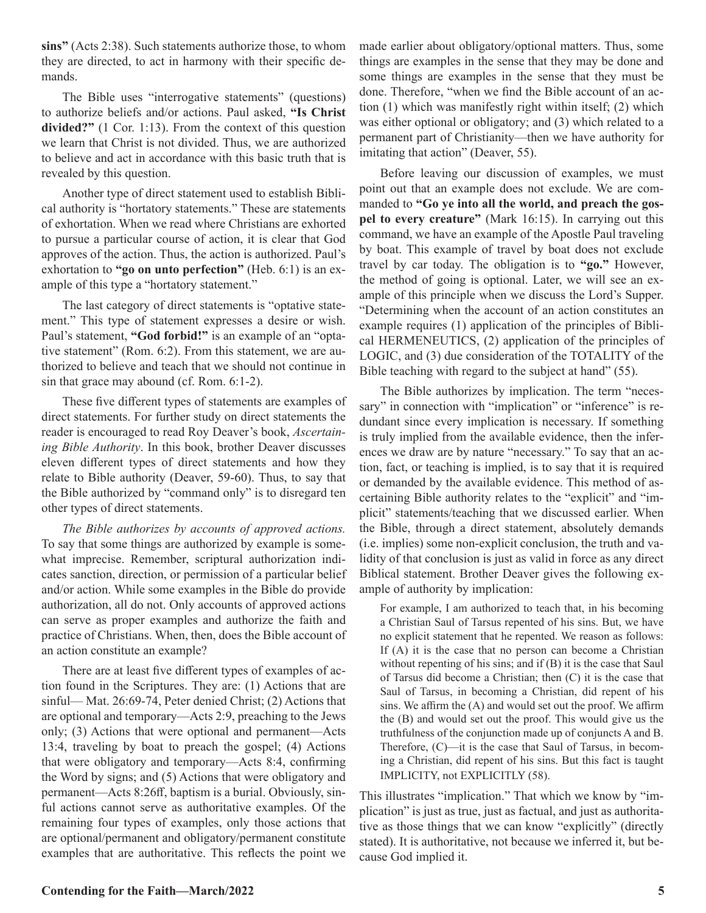**sins"** (Acts 2:38). Such statements authorize those, to whom they are directed, to act in harmony with their specific demands.

The Bible uses "interrogative statements" (questions) to authorize beliefs and/or actions. Paul asked, **"Is Christ divided?"** (1 Cor. 1:13). From the context of this question we learn that Christ is not divided. Thus, we are authorized to believe and act in accordance with this basic truth that is revealed by this question.

Another type of direct statement used to establish Biblical authority is "hortatory statements." These are statements of exhortation. When we read where Christians are exhorted to pursue a particular course of action, it is clear that God approves of the action. Thus, the action is authorized. Paul's exhortation to **"go on unto perfection"** (Heb. 6:1) is an example of this type a "hortatory statement."

The last category of direct statements is "optative statement." This type of statement expresses a desire or wish. Paul's statement, **"God forbid!"** is an example of an "optative statement" (Rom. 6:2). From this statement, we are authorized to believe and teach that we should not continue in sin that grace may abound (cf. Rom. 6:1-2).

These five different types of statements are examples of direct statements. For further study on direct statements the reader is encouraged to read Roy Deaver's book, *Ascertaining Bible Authority*. In this book, brother Deaver discusses eleven different types of direct statements and how they relate to Bible authority (Deaver, 59-60). Thus, to say that the Bible authorized by "command only" is to disregard ten other types of direct statements.

*The Bible authorizes by accounts of approved actions.*  To say that some things are authorized by example is somewhat imprecise. Remember, scriptural authorization indicates sanction, direction, or permission of a particular belief and/or action. While some examples in the Bible do provide authorization, all do not. Only accounts of approved actions can serve as proper examples and authorize the faith and practice of Christians. When, then, does the Bible account of an action constitute an example?

There are at least five different types of examples of action found in the Scriptures. They are: (1) Actions that are sinful— Mat. 26:69-74, Peter denied Christ; (2) Actions that are optional and temporary—Acts 2:9, preaching to the Jews only; (3) Actions that were optional and permanent—Acts 13:4, traveling by boat to preach the gospel; (4) Actions that were obligatory and temporary—Acts 8:4, confirming the Word by signs; and (5) Actions that were obligatory and permanent—Acts 8:26ff, baptism is a burial. Obviously, sinful actions cannot serve as authoritative examples. Of the remaining four types of examples, only those actions that are optional/permanent and obligatory/permanent constitute examples that are authoritative. This reflects the point we

made earlier about obligatory/optional matters. Thus, some things are examples in the sense that they may be done and some things are examples in the sense that they must be done. Therefore, "when we find the Bible account of an action (1) which was manifestly right within itself; (2) which was either optional or obligatory; and (3) which related to a permanent part of Christianity—then we have authority for imitating that action" (Deaver, 55).

Before leaving our discussion of examples, we must point out that an example does not exclude. We are commanded to **"Go ye into all the world, and preach the gospel to every creature"** (Mark 16:15). In carrying out this command, we have an example of the Apostle Paul traveling by boat. This example of travel by boat does not exclude travel by car today. The obligation is to **"go."** However, the method of going is optional. Later, we will see an example of this principle when we discuss the Lord's Supper. "Determining when the account of an action constitutes an example requires (1) application of the principles of Biblical HERMENEUTICS, (2) application of the principles of LOGIC, and (3) due consideration of the TOTALITY of the Bible teaching with regard to the subject at hand" (55).

The Bible authorizes by implication. The term "necessary" in connection with "implication" or "inference" is redundant since every implication is necessary. If something is truly implied from the available evidence, then the inferences we draw are by nature "necessary." To say that an action, fact, or teaching is implied, is to say that it is required or demanded by the available evidence. This method of ascertaining Bible authority relates to the "explicit" and "implicit" statements/teaching that we discussed earlier. When the Bible, through a direct statement, absolutely demands (i.e. implies) some non-explicit conclusion, the truth and validity of that conclusion is just as valid in force as any direct Biblical statement. Brother Deaver gives the following example of authority by implication:

For example, I am authorized to teach that, in his becoming a Christian Saul of Tarsus repented of his sins. But, we have no explicit statement that he repented. We reason as follows: If (A) it is the case that no person can become a Christian without repenting of his sins; and if (B) it is the case that Saul of Tarsus did become a Christian; then (C) it is the case that Saul of Tarsus, in becoming a Christian, did repent of his sins. We affirm the (A) and would set out the proof. We affirm the (B) and would set out the proof. This would give us the truthfulness of the conjunction made up of conjuncts A and B. Therefore, (C)—it is the case that Saul of Tarsus, in becoming a Christian, did repent of his sins. But this fact is taught IMPLICITY, not EXPLICITLY (58).

This illustrates "implication." That which we know by "implication" is just as true, just as factual, and just as authoritative as those things that we can know "explicitly" (directly stated). It is authoritative, not because we inferred it, but because God implied it.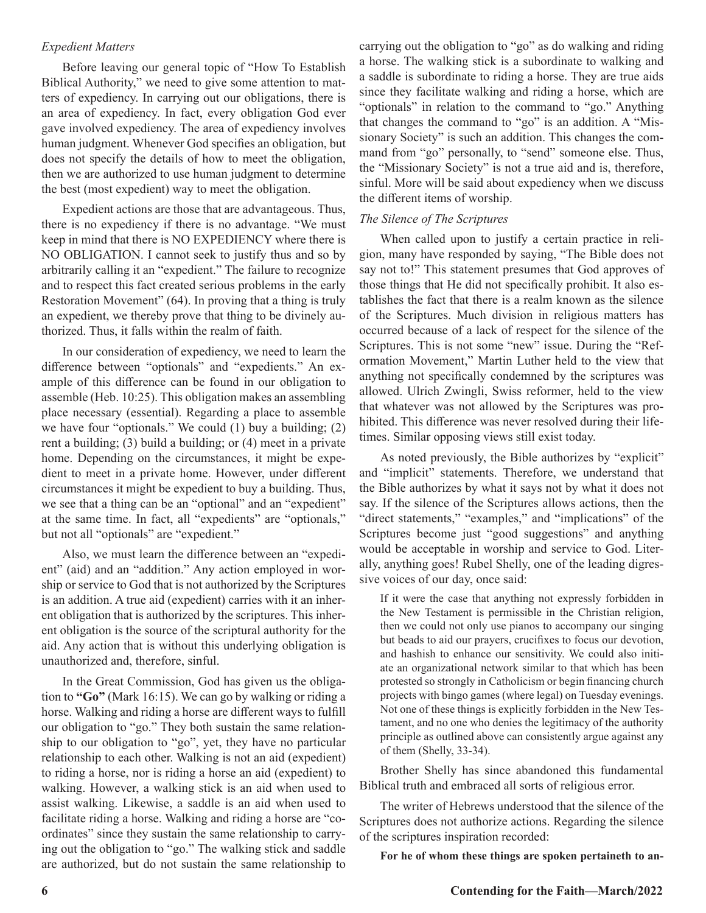#### *Expedient Matters*

Before leaving our general topic of "How To Establish Biblical Authority," we need to give some attention to matters of expediency. In carrying out our obligations, there is an area of expediency. In fact, every obligation God ever gave involved expediency. The area of expediency involves human judgment. Whenever God specifies an obligation, but does not specify the details of how to meet the obligation, then we are authorized to use human judgment to determine the best (most expedient) way to meet the obligation.

Expedient actions are those that are advantageous. Thus, there is no expediency if there is no advantage. "We must keep in mind that there is NO EXPEDIENCY where there is NO OBLIGATION. I cannot seek to justify thus and so by arbitrarily calling it an "expedient." The failure to recognize and to respect this fact created serious problems in the early Restoration Movement" (64). In proving that a thing is truly an expedient, we thereby prove that thing to be divinely authorized. Thus, it falls within the realm of faith.

In our consideration of expediency, we need to learn the difference between "optionals" and "expedients." An example of this difference can be found in our obligation to assemble (Heb. 10:25). This obligation makes an assembling place necessary (essential). Regarding a place to assemble we have four "optionals." We could (1) buy a building; (2) rent a building; (3) build a building; or (4) meet in a private home. Depending on the circumstances, it might be expedient to meet in a private home. However, under different circumstances it might be expedient to buy a building. Thus, we see that a thing can be an "optional" and an "expedient" at the same time. In fact, all "expedients" are "optionals," but not all "optionals" are "expedient."

Also, we must learn the difference between an "expedient" (aid) and an "addition." Any action employed in worship or service to God that is not authorized by the Scriptures is an addition. A true aid (expedient) carries with it an inherent obligation that is authorized by the scriptures. This inherent obligation is the source of the scriptural authority for the aid. Any action that is without this underlying obligation is unauthorized and, therefore, sinful.

In the Great Commission, God has given us the obligation to **"Go"** (Mark 16:15). We can go by walking or riding a horse. Walking and riding a horse are different ways to fulfill our obligation to "go." They both sustain the same relationship to our obligation to "go", yet, they have no particular relationship to each other. Walking is not an aid (expedient) to riding a horse, nor is riding a horse an aid (expedient) to walking. However, a walking stick is an aid when used to assist walking. Likewise, a saddle is an aid when used to facilitate riding a horse. Walking and riding a horse are "coordinates" since they sustain the same relationship to carrying out the obligation to "go." The walking stick and saddle are authorized, but do not sustain the same relationship to

carrying out the obligation to "go" as do walking and riding a horse. The walking stick is a subordinate to walking and a saddle is subordinate to riding a horse. They are true aids since they facilitate walking and riding a horse, which are "optionals" in relation to the command to "go." Anything that changes the command to "go" is an addition. A "Missionary Society" is such an addition. This changes the command from "go" personally, to "send" someone else. Thus, the "Missionary Society" is not a true aid and is, therefore, sinful. More will be said about expediency when we discuss the different items of worship.

#### *The Silence of The Scriptures*

When called upon to justify a certain practice in religion, many have responded by saying, "The Bible does not say not to!" This statement presumes that God approves of those things that He did not specifically prohibit. It also establishes the fact that there is a realm known as the silence of the Scriptures. Much division in religious matters has occurred because of a lack of respect for the silence of the Scriptures. This is not some "new" issue. During the "Reformation Movement," Martin Luther held to the view that anything not specifically condemned by the scriptures was allowed. Ulrich Zwingli, Swiss reformer, held to the view that whatever was not allowed by the Scriptures was prohibited. This difference was never resolved during their lifetimes. Similar opposing views still exist today.

As noted previously, the Bible authorizes by "explicit" and "implicit" statements. Therefore, we understand that the Bible authorizes by what it says not by what it does not say. If the silence of the Scriptures allows actions, then the "direct statements," "examples," and "implications" of the Scriptures become just "good suggestions" and anything would be acceptable in worship and service to God. Literally, anything goes! Rubel Shelly, one of the leading digressive voices of our day, once said:

If it were the case that anything not expressly forbidden in the New Testament is permissible in the Christian religion, then we could not only use pianos to accompany our singing but beads to aid our prayers, crucifixes to focus our devotion, and hashish to enhance our sensitivity. We could also initiate an organizational network similar to that which has been protested so strongly in Catholicism or begin financing church projects with bingo games (where legal) on Tuesday evenings. Not one of these things is explicitly forbidden in the New Testament, and no one who denies the legitimacy of the authority principle as outlined above can consistently argue against any of them (Shelly, 33-34).

Brother Shelly has since abandoned this fundamental Biblical truth and embraced all sorts of religious error.

The writer of Hebrews understood that the silence of the Scriptures does not authorize actions. Regarding the silence of the scriptures inspiration recorded:

**For he of whom these things are spoken pertaineth to an-**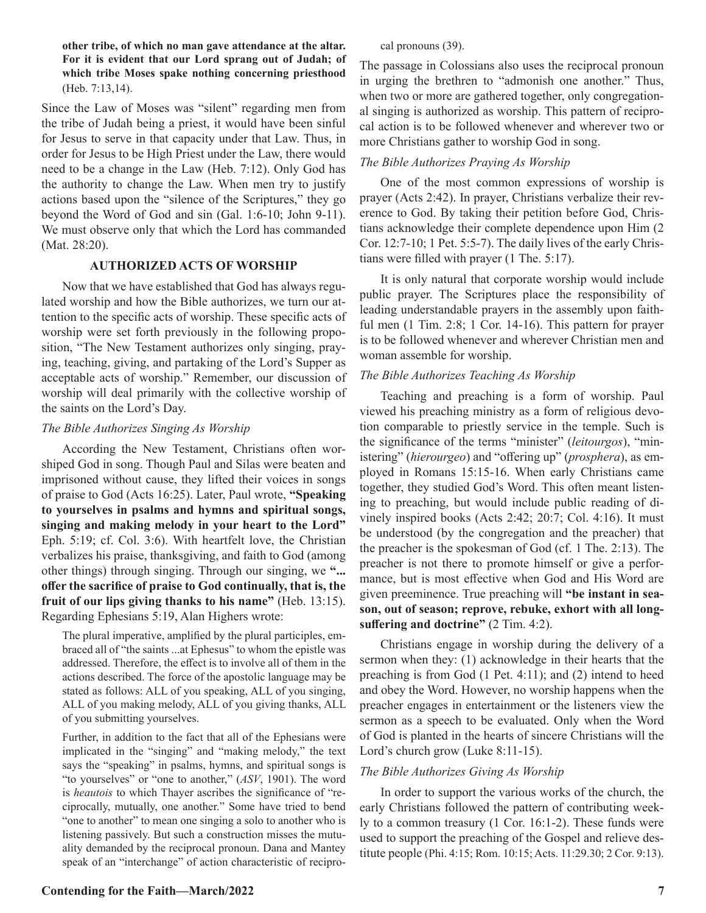**other tribe, of which no man gave attendance at the altar. For it is evident that our Lord sprang out of Judah; of which tribe Moses spake nothing concerning priesthood**  (Heb. 7:13,14).

Since the Law of Moses was "silent" regarding men from the tribe of Judah being a priest, it would have been sinful for Jesus to serve in that capacity under that Law. Thus, in order for Jesus to be High Priest under the Law, there would need to be a change in the Law (Heb. 7:12). Only God has the authority to change the Law. When men try to justify actions based upon the "silence of the Scriptures," they go beyond the Word of God and sin (Gal. 1:6-10; John 9-11). We must observe only that which the Lord has commanded (Mat. 28:20).

### **AUTHORIZED ACTS OF WORSHIP**

Now that we have established that God has always regulated worship and how the Bible authorizes, we turn our attention to the specific acts of worship. These specific acts of worship were set forth previously in the following proposition, "The New Testament authorizes only singing, praying, teaching, giving, and partaking of the Lord's Supper as acceptable acts of worship." Remember, our discussion of worship will deal primarily with the collective worship of the saints on the Lord's Day.

#### *The Bible Authorizes Singing As Worship*

According the New Testament, Christians often worshiped God in song. Though Paul and Silas were beaten and imprisoned without cause, they lifted their voices in songs of praise to God (Acts 16:25). Later, Paul wrote, **"Speaking to yourselves in psalms and hymns and spiritual songs, singing and making melody in your heart to the Lord"** Eph. 5:19; cf. Col. 3:6). With heartfelt love, the Christian verbalizes his praise, thanksgiving, and faith to God (among other things) through singing. Through our singing, we **"... offer the sacrifice of praise to God continually, that is, the fruit of our lips giving thanks to his name"** (Heb. 13:15). Regarding Ephesians 5:19, Alan Highers wrote:

The plural imperative, amplified by the plural participles, embraced all of "the saints ...at Ephesus" to whom the epistle was addressed. Therefore, the effect is to involve all of them in the actions described. The force of the apostolic language may be stated as follows: ALL of you speaking, ALL of you singing, ALL of you making melody, ALL of you giving thanks, ALL of you submitting yourselves.

Further, in addition to the fact that all of the Ephesians were implicated in the "singing" and "making melody," the text says the "speaking" in psalms, hymns, and spiritual songs is "to yourselves" or "one to another," (*ASV*, 1901). The word is *heautois* to which Thayer ascribes the significance of "reciprocally, mutually, one another." Some have tried to bend "one to another" to mean one singing a solo to another who is listening passively. But such a construction misses the mutuality demanded by the reciprocal pronoun. Dana and Mantey speak of an "interchange" of action characteristic of reciproThe passage in Colossians also uses the reciprocal pronoun in urging the brethren to "admonish one another." Thus, when two or more are gathered together, only congregational singing is authorized as worship. This pattern of reciprocal action is to be followed whenever and wherever two or more Christians gather to worship God in song.

### *The Bible Authorizes Praying As Worship*

One of the most common expressions of worship is prayer (Acts 2:42). In prayer, Christians verbalize their reverence to God. By taking their petition before God, Christians acknowledge their complete dependence upon Him (2 Cor. 12:7-10; 1 Pet. 5:5-7). The daily lives of the early Christians were filled with prayer (1 The. 5:17).

It is only natural that corporate worship would include public prayer. The Scriptures place the responsibility of leading understandable prayers in the assembly upon faithful men (1 Tim. 2:8; 1 Cor. 14-16). This pattern for prayer is to be followed whenever and wherever Christian men and woman assemble for worship.

### *The Bible Authorizes Teaching As Worship*

Teaching and preaching is a form of worship. Paul viewed his preaching ministry as a form of religious devotion comparable to priestly service in the temple. Such is the significance of the terms "minister" (*leitourgos*), "ministering" (*hierourgeo*) and "offering up" (*prosphera*), as employed in Romans 15:15-16. When early Christians came together, they studied God's Word. This often meant listening to preaching, but would include public reading of divinely inspired books (Acts 2:42; 20:7; Col. 4:16). It must be understood (by the congregation and the preacher) that the preacher is the spokesman of God (cf. 1 The. 2:13). The preacher is not there to promote himself or give a performance, but is most effective when God and His Word are given preeminence. True preaching will **"be instant in season, out of season; reprove, rebuke, exhort with all longsuffering and doctrine"** (2 Tim. 4:2).

Christians engage in worship during the delivery of a sermon when they: (1) acknowledge in their hearts that the preaching is from God (1 Pet. 4:11); and (2) intend to heed and obey the Word. However, no worship happens when the preacher engages in entertainment or the listeners view the sermon as a speech to be evaluated. Only when the Word of God is planted in the hearts of sincere Christians will the Lord's church grow (Luke 8:11-15).

### *The Bible Authorizes Giving As Worship*

In order to support the various works of the church, the early Christians followed the pattern of contributing weekly to a common treasury (1 Cor. 16:1-2). These funds were used to support the preaching of the Gospel and relieve destitute people (Phi. 4:15; Rom. 10:15; Acts. 11:29.30; 2 Cor. 9:13).